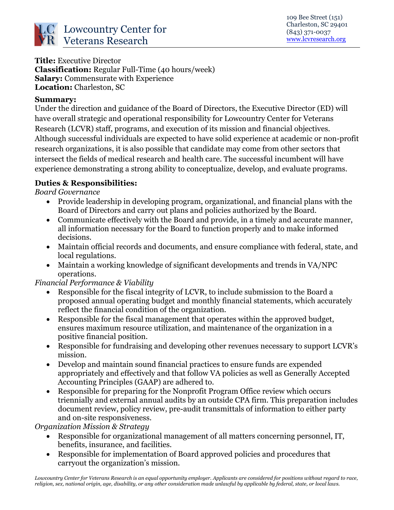

### **Title:** Executive Director

**Classification:** Regular Full-Time (40 hours/week) **Salary:** Commensurate with Experience **Location:** Charleston, SC

#### **Summary:**

Under the direction and guidance of the Board of Directors, the Executive Director (ED) will have overall strategic and operational responsibility for Lowcountry Center for Veterans Research (LCVR) staff, programs, and execution of its mission and financial objectives. Although successful individuals are expected to have solid experience at academic or non-profit research organizations, it is also possible that candidate may come from other sectors that intersect the fields of medical research and health care. The successful incumbent will have experience demonstrating a strong ability to conceptualize, develop, and evaluate programs.

### **Duties & Responsibilities:**

*Board Governance* 

- Provide leadership in developing program, organizational, and financial plans with the Board of Directors and carry out plans and policies authorized by the Board.
- Communicate effectively with the Board and provide, in a timely and accurate manner, all information necessary for the Board to function properly and to make informed decisions.
- Maintain official records and documents, and ensure compliance with federal, state, and local regulations.
- Maintain a working knowledge of significant developments and trends in VA/NPC operations.

### *Financial Performance & Viability*

- Responsible for the fiscal integrity of LCVR, to include submission to the Board a proposed annual operating budget and monthly financial statements, which accurately reflect the financial condition of the organization.
- Responsible for the fiscal management that operates within the approved budget, ensures maximum resource utilization, and maintenance of the organization in a positive financial position.
- Responsible for fundraising and developing other revenues necessary to support LCVR's mission.
- Develop and maintain sound financial practices to ensure funds are expended appropriately and effectively and that follow VA policies as well as Generally Accepted Accounting Principles (GAAP) are adhered to.
- Responsible for preparing for the Nonprofit Program Office review which occurs triennially and external annual audits by an outside CPA firm. This preparation includes document review, policy review, pre-audit transmittals of information to either party and on-site responsiveness.

*Organization Mission & Strategy* 

- Responsible for organizational management of all matters concerning personnel, IT, benefits, insurance, and facilities.
- Responsible for implementation of Board approved policies and procedures that carryout the organization's mission.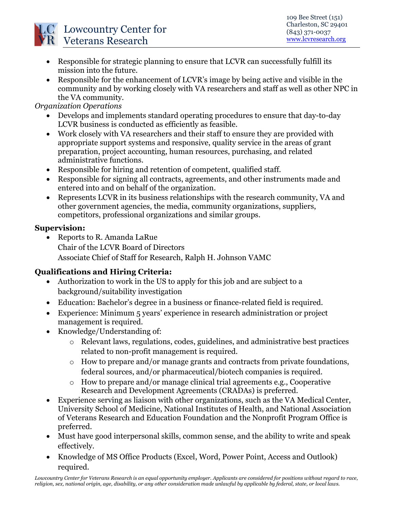

- Responsible for strategic planning to ensure that LCVR can successfully fulfill its mission into the future.
- Responsible for the enhancement of LCVR's image by being active and visible in the community and by working closely with VA researchers and staff as well as other NPC in the VA community.

*Organization Operations* 

- Develops and implements standard operating procedures to ensure that day-to-day LCVR business is conducted as efficiently as feasible.
- Work closely with VA researchers and their staff to ensure they are provided with appropriate support systems and responsive, quality service in the areas of grant preparation, project accounting, human resources, purchasing, and related administrative functions.
- Responsible for hiring and retention of competent, qualified staff.
- Responsible for signing all contracts, agreements, and other instruments made and entered into and on behalf of the organization.
- Represents LCVR in its business relationships with the research community, VA and other government agencies, the media, community organizations, suppliers, competitors, professional organizations and similar groups.

# **Supervision:**

 Reports to R. Amanda LaRue Chair of the LCVR Board of Directors Associate Chief of Staff for Research, Ralph H. Johnson VAMC

# **Qualifications and Hiring Criteria:**

- Authorization to work in the US to apply for this job and are subject to a background/suitability investigation
- Education: Bachelor's degree in a business or finance-related field is required.
- Experience: Minimum 5 years' experience in research administration or project management is required.
- Knowledge/Understanding of:
	- o Relevant laws, regulations, codes, guidelines, and administrative best practices related to non-profit management is required.
	- o How to prepare and/or manage grants and contracts from private foundations, federal sources, and/or pharmaceutical/biotech companies is required.
	- o How to prepare and/or manage clinical trial agreements e.g., Cooperative Research and Development Agreements (CRADAs) is preferred.
- Experience serving as liaison with other organizations, such as the VA Medical Center, University School of Medicine, National Institutes of Health, and National Association of Veterans Research and Education Foundation and the Nonprofit Program Office is preferred.
- Must have good interpersonal skills, common sense, and the ability to write and speak effectively.
- Knowledge of MS Office Products (Excel, Word, Power Point, Access and Outlook) required.